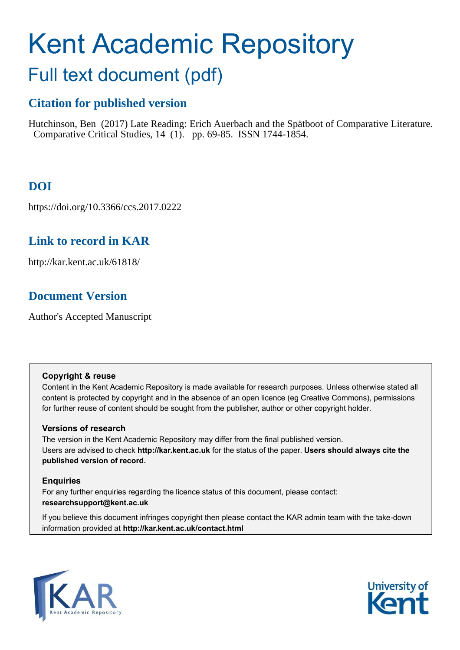# Kent Academic Repository

## Full text document (pdf)

## **Citation for published version**

Hutchinson, Ben (2017) Late Reading: Erich Auerbach and the Spätboot of Comparative Literature. Comparative Critical Studies, 14 (1). pp. 69-85. ISSN 1744-1854.

## **DOI**

https://doi.org/10.3366/ccs.2017.0222

## **Link to record in KAR**

http://kar.kent.ac.uk/61818/

## **Document Version**

Author's Accepted Manuscript

#### **Copyright & reuse**

Content in the Kent Academic Repository is made available for research purposes. Unless otherwise stated all content is protected by copyright and in the absence of an open licence (eg Creative Commons), permissions for further reuse of content should be sought from the publisher, author or other copyright holder.

#### **Versions of research**

The version in the Kent Academic Repository may differ from the final published version. Users are advised to check **http://kar.kent.ac.uk** for the status of the paper. **Users should always cite the published version of record.**

#### **Enquiries**

For any further enquiries regarding the licence status of this document, please contact: **researchsupport@kent.ac.uk**

If you believe this document infringes copyright then please contact the KAR admin team with the take-down information provided at **http://kar.kent.ac.uk/contact.html**



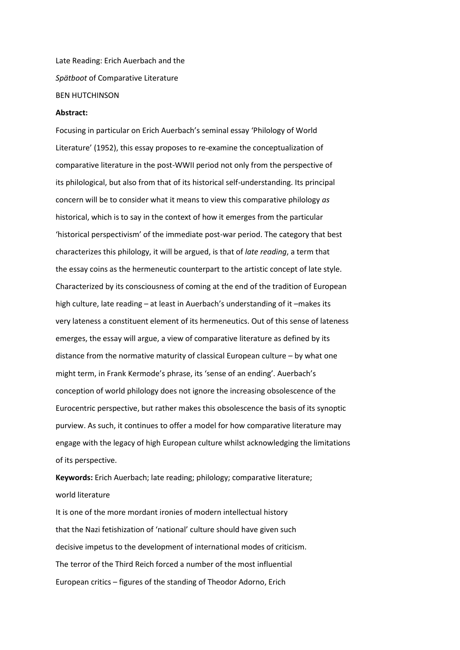Late Reading: Erich Auerbach and the *Sp‰tboot* of Comparative Literature BEN HUTCHINSON

#### **Abstract:**

Focusing in particular on Erich Auerbach's seminal essay 'Philology of World Literature' (1952), this essay proposes to re-examine the conceptualization of comparative literature in the post-WWII period not only from the perspective of its philological, but also from that of its historical self-understanding. Its principal concern will be to consider what it means to view this comparative philology *as* historical, which is to say in the context of how it emerges from the particular 'historical perspectivism' of the immediate post-war period. The category that best characterizes this philology, it will be argued, is that of *late reading*, a term that the essay coins as the hermeneutic counterpart to the artistic concept of late style. Characterized by its consciousness of coming at the end of the tradition of European high culture, late reading - at least in Auerbach's understanding of it -makes its very lateness a constituent element of its hermeneutics. Out of this sense of lateness emerges, the essay will argue, a view of comparative literature as defined by its distance from the normative maturity of classical European culture  $-$  by what one might term, in Frank Kermode's phrase, its 'sense of an ending'. Auerbach's conception of world philology does not ignore the increasing obsolescence of the Eurocentric perspective, but rather makes this obsolescence the basis of its synoptic purview. As such, it continues to offer a model for how comparative literature may engage with the legacy of high European culture whilst acknowledging the limitations of its perspective.

**Keywords:** Erich Auerbach; late reading; philology; comparative literature; world literature

It is one of the more mordant ironies of modern intellectual history that the Nazi fetishization of 'national' culture should have given such decisive impetus to the development of international modes of criticism. The terror of the Third Reich forced a number of the most influential European critics – figures of the standing of Theodor Adorno, Erich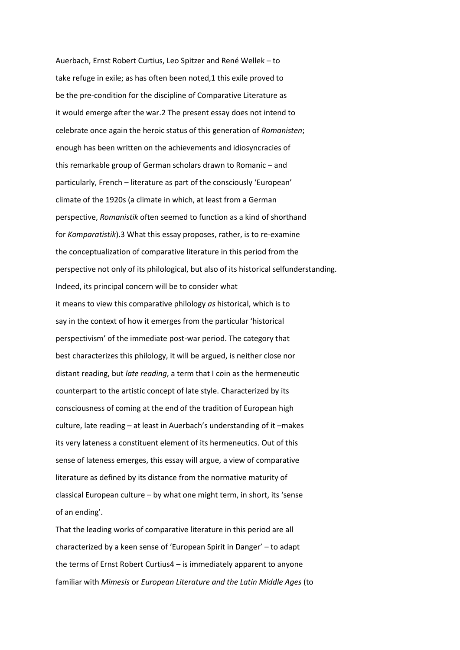Auerbach, Ernst Robert Curtius, Leo Spitzer and René Wellek - to take refuge in exile; as has often been noted,1 this exile proved to be the pre-condition for the discipline of Comparative Literature as it would emerge after the war.2 The present essay does not intend to celebrate once again the heroic status of this generation of *Romanisten*; enough has been written on the achievements and idiosyncracies of this remarkable group of German scholars drawn to Romanic  $-$  and particularly, French - literature as part of the consciously 'European' climate of the 1920s (a climate in which, at least from a German perspective, *Romanistik* often seemed to function as a kind of shorthand for *Komparatistik*).3 What this essay proposes, rather, is to re-examine the conceptualization of comparative literature in this period from the perspective not only of its philological, but also of its historical selfunderstanding. Indeed, its principal concern will be to consider what it means to view this comparative philology *as* historical, which is to say in the context of how it emerges from the particular 'historical perspectivism' of the immediate post-war period. The category that best characterizes this philology, it will be argued, is neither close nor distant reading, but *late reading*, a term that I coin as the hermeneutic counterpart to the artistic concept of late style. Characterized by its consciousness of coming at the end of the tradition of European high culture, late reading - at least in Auerbach's understanding of it -makes its very lateness a constituent element of its hermeneutics. Out of this sense of lateness emerges, this essay will argue, a view of comparative literature as defined by its distance from the normative maturity of classical European culture - by what one might term, in short, its 'sense of an ending'.

That the leading works of comparative literature in this period are all characterized by a keen sense of 'European Spirit in Danger' - to adapt the terms of Ernst Robert Curtius4  $-$  is immediately apparent to anyone familiar with *Mimesis* or *European Literature and the Latin Middle Ages* (to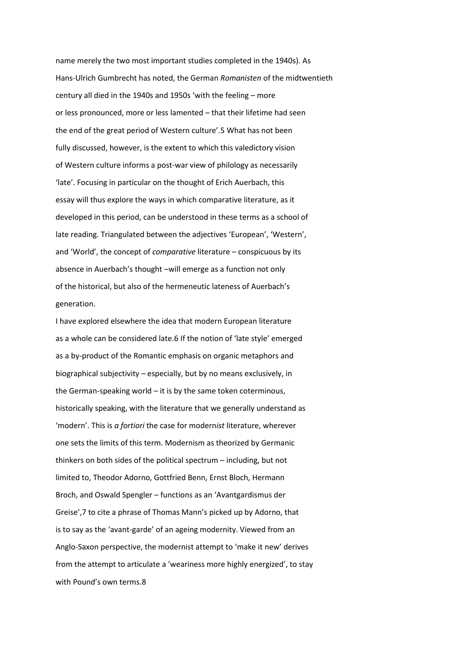name merely the two most important studies completed in the 1940s). As Hans-Ulrich Gumbrecht has noted, the German *Romanisten* of the midtwentieth century all died in the 1940s and 1950s 'with the feeling - more or less pronounced, more or less lamented - that their lifetime had seen the end of the great period of Western culture'.5 What has not been fully discussed, however, is the extent to which this valedictory vision of Western culture informs a post-war view of philology as necessarily 'late'. Focusing in particular on the thought of Erich Auerbach, this essay will thus explore the ways in which comparative literature, as it developed in this period, can be understood in these terms as a school of late reading. Triangulated between the adjectives 'European', 'Western', and 'World', the concept of *comparative* literature - conspicuous by its absence in Auerbach's thought -will emerge as a function not only of the historical, but also of the hermeneutic lateness of Auerbach's generation.

I have explored elsewhere the idea that modern European literature as a whole can be considered late.6 If the notion of 'late style' emerged as a by-product of the Romantic emphasis on organic metaphors and biographical subjectivity – especially, but by no means exclusively, in the German-speaking world  $-$  it is by the same token coterminous, historically speaking, with the literature that we generally understand as 'modern'. This is a fortiori the case for modernist literature, wherever one sets the limits of this term. Modernism as theorized by Germanic thinkers on both sides of the political spectrum  $-$  including, but not limited to, Theodor Adorno, Gottfried Benn, Ernst Bloch, Hermann Broch, and Oswald Spengler – functions as an 'Avantgardismus der Greise',7 to cite a phrase of Thomas Mann's picked up by Adorno, that is to say as the 'avant-garde' of an ageing modernity. Viewed from an Anglo-Saxon perspective, the modernist attempt to 'make it new' derives from the attempt to articulate a 'weariness more highly energized', to stay with Pound's own terms.8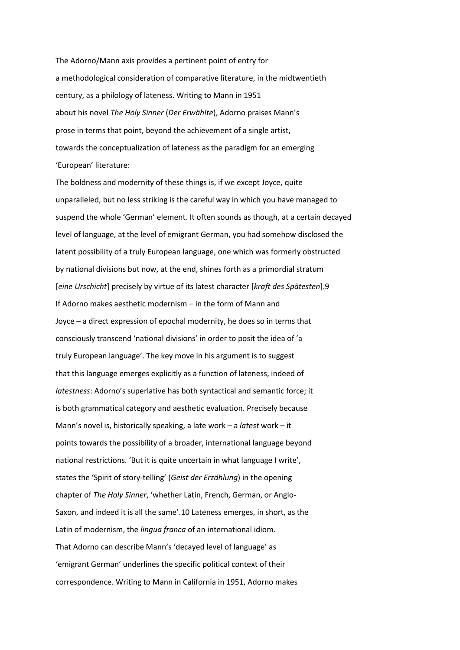The Adorno/Mann axis provides a pertinent point of entry for a methodological consideration of comparative literature, in the midtwentieth century, as a philology of lateness. Writing to Mann in 1951 about his novel *The Holy Sinner (Der Erwählte)*, Adorno praises Mann's prose in terms that point, beyond the achievement of a single artist, towards the conceptualization of lateness as the paradigm for an emerging 'European' literature:

The boldness and modernity of these things is, if we except Joyce, quite unparalleled, but no less striking is the careful way in which you have managed to suspend the whole 'German' element. It often sounds as though, at a certain decayed level of language, at the level of emigrant German, you had somehow disclosed the latent possibility of a truly European language, one which was formerly obstructed by national divisions but now, at the end, shines forth as a primordial stratum [*eine Urschicht*] precisely by virtue of its latest character [*kraft des Sp‰testen*].9 If Adorno makes aesthetic modernism  $-$  in the form of Mann and Joyce  $-$  a direct expression of epochal modernity, he does so in terms that consciously transcend 'national divisions' in order to posit the idea of 'a truly European language'. The key move in his argument is to suggest that this language emerges explicitly as a function of lateness, indeed of *latestness*: Adorno's superlative has both syntactical and semantic force; it is both grammatical category and aesthetic evaluation. Precisely because Mann's novel is, historically speaking, a late work - a *latest* work - it points towards the possibility of a broader, international language beyond national restrictions. 'But it is quite uncertain in what language I write', states the 'Spirit of story-telling' (Geist der Erzählung) in the opening chapter of *The Holy Sinner*, 'whether Latin, French, German, or Anglo-Saxon, and indeed it is all the same'.10 Lateness emerges, in short, as the Latin of modernism, the *lingua franca* of an international idiom. That Adorno can describe Mann's 'decayed level of language' as 'emigrant German' underlines the specific political context of their correspondence. Writing to Mann in California in 1951, Adorno makes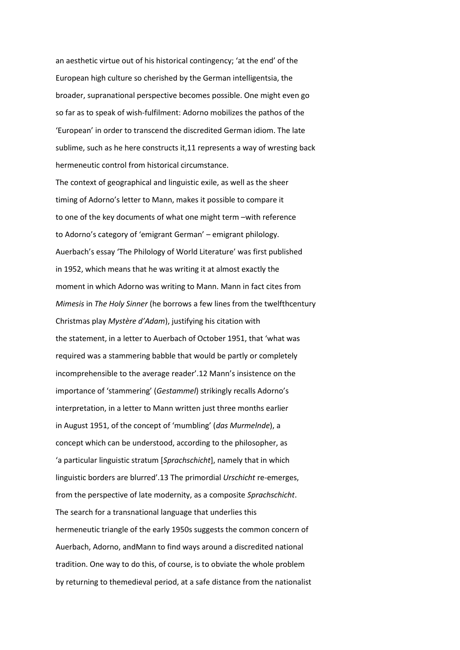an aesthetic virtue out of his historical contingency; 'at the end' of the European high culture so cherished by the German intelligentsia, the broader, supranational perspective becomes possible. One might even go so far as to speak of wish-fulfilment: Adorno mobilizes the pathos of the 'European' in order to transcend the discredited German idiom. The late sublime, such as he here constructs it,11 represents a way of wresting back hermeneutic control from historical circumstance.

The context of geographical and linguistic exile, as well as the sheer timing of Adorno's letter to Mann, makes it possible to compare it to one of the key documents of what one might term -with reference to Adorno's category of 'emigrant German' - emigrant philology. Auerbach's essay 'The Philology of World Literature' was first published in 1952, which means that he was writing it at almost exactly the moment in which Adorno was writing to Mann. Mann in fact cites from *Mimesis* in *The Holy Sinner* (he borrows a few lines from the twelfthcentury Christmas play *Mystère d'Adam*), justifying his citation with the statement, in a letter to Auerbach of October 1951, that 'what was required was a stammering babble that would be partly or completely incomprehensible to the average reader'.12 Mann's insistence on the importance of 'stammering' (Gestammel) strikingly recalls Adorno's interpretation, in a letter to Mann written just three months earlier in August 1951, of the concept of 'mumbling' (das Murmelnde), a concept which can be understood, according to the philosopher, as 'a particular linguistic stratum [Sprachschicht], namely that in which linguistic borders are blurred'.13 The primordial *Urschicht* re-emerges, from the perspective of late modernity, as a composite *Sprachschicht*. The search for a transnational language that underlies this hermeneutic triangle of the early 1950s suggests the common concern of Auerbach, Adorno, andMann to find ways around a discredited national tradition. One way to do this, of course, is to obviate the whole problem by returning to themedieval period, at a safe distance from the nationalist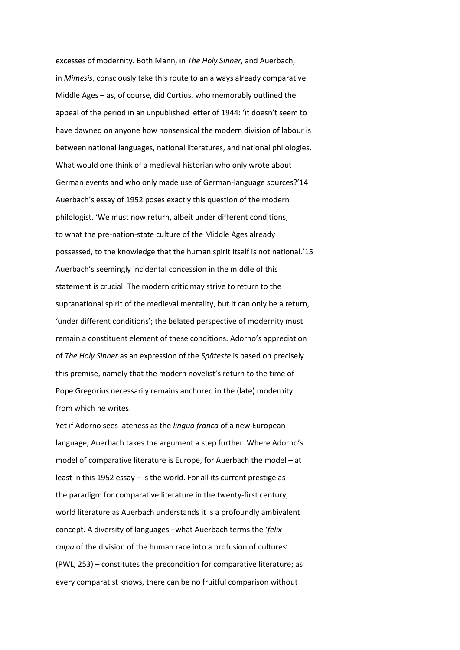excesses of modernity. Both Mann, in *The Holy Sinner*, and Auerbach, in *Mimesis*, consciously take this route to an always already comparative Middle Ages  $-$  as, of course, did Curtius, who memorably outlined the appeal of the period in an unpublished letter of 1944: 'it doesn't seem to have dawned on anyone how nonsensical the modern division of labour is between national languages, national literatures, and national philologies. What would one think of a medieval historian who only wrote about German events and who only made use of German-language sources?'14 Auerbach's essay of 1952 poses exactly this question of the modern philologist. 'We must now return, albeit under different conditions, to what the pre-nation-state culture of the Middle Ages already possessed, to the knowledge that the human spirit itself is not national.'15 Auerbach's seemingly incidental concession in the middle of this statement is crucial. The modern critic may strive to return to the supranational spirit of the medieval mentality, but it can only be a return, 'under different conditions'; the belated perspective of modernity must remain a constituent element of these conditions. Adorno's appreciation of *The Holy Sinner* as an expression of the *Sp‰teste* is based on precisely this premise, namely that the modern novelist's return to the time of Pope Gregorius necessarily remains anchored in the (late) modernity from which he writes.

Yet if Adorno sees lateness as the *lingua franca* of a new European language, Auerbach takes the argument a step further. Where Adorno's model of comparative literature is Europe, for Auerbach the model - at least in this 1952 essay  $-$  is the world. For all its current prestige as the paradigm for comparative literature in the twenty-first century, world literature as Auerbach understands it is a profoundly ambivalent concept. A diversity of languages -what Auerbach terms the 'felix *culpa* of the division of the human race into a profusion of cultures'  $(PWL, 253)$  - constitutes the precondition for comparative literature; as every comparatist knows, there can be no fruitful comparison without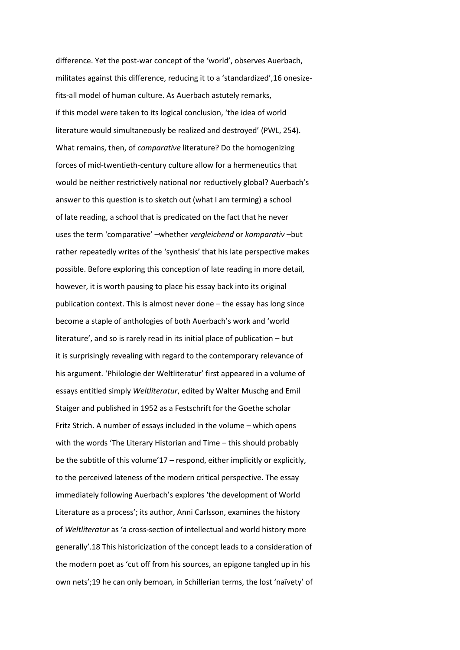difference. Yet the post-war concept of the 'world', observes Auerbach, militates against this difference, reducing it to a 'standardized', 16 onesizefits-all model of human culture. As Auerbach astutely remarks, if this model were taken to its logical conclusion, 'the idea of world literature would simultaneously be realized and destroyed' (PWL, 254). What remains, then, of *comparative* literature? Do the homogenizing forces of mid-twentieth-century culture allow for a hermeneutics that would be neither restrictively national nor reductively global? Auerbach's answer to this question is to sketch out (what I am terming) a school of late reading, a school that is predicated on the fact that he never uses the term 'comparative' -whether *vergleichend* or *komparativ* -but rather repeatedly writes of the 'synthesis' that his late perspective makes possible. Before exploring this conception of late reading in more detail, however, it is worth pausing to place his essay back into its original publication context. This is almost never done  $-$  the essay has long since become a staple of anthologies of both Auerbach's work and 'world literature', and so is rarely read in its initial place of publication  $-$  but it is surprisingly revealing with regard to the contemporary relevance of his argument. 'Philologie der Weltliteratur' first appeared in a volume of essays entitled simply *Weltliteratur*, edited by Walter Muschg and Emil Staiger and published in 1952 as a Festschrift for the Goethe scholar Fritz Strich. A number of essays included in the volume - which opens with the words 'The Literary Historian and Time - this should probably be the subtitle of this volume'17 – respond, either implicitly or explicitly, to the perceived lateness of the modern critical perspective. The essay immediately following Auerbach's explores 'the development of World Literature as a process'; its author, Anni Carlsson, examines the history of *Weltliteratur* as 'a cross-section of intellectual and world history more generally'.18 This historicization of the concept leads to a consideration of the modern poet as 'cut off from his sources, an epigone tangled up in his own nets';19 he can only bemoan, in Schillerian terms, the lost 'naïvety' of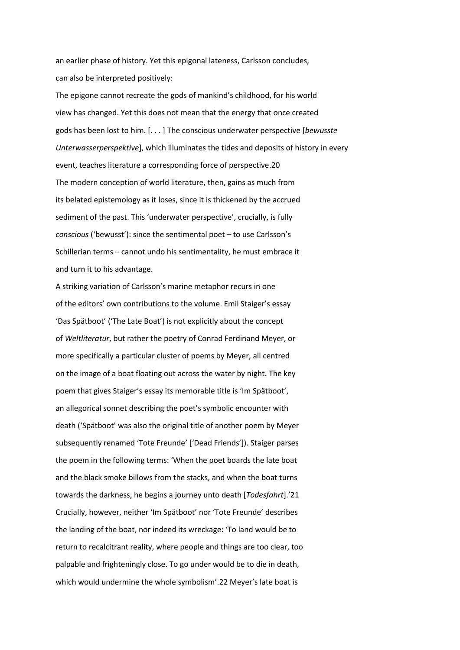an earlier phase of history. Yet this epigonal lateness, Carlsson concludes, can also be interpreted positively:

The epigone cannot recreate the gods of mankind's childhood, for his world view has changed. Yet this does not mean that the energy that once created gods has been lost to him. [. . . ] The conscious underwater perspective [*bewusste Unterwasserperspektive*], which illuminates the tides and deposits of history in every event, teaches literature a corresponding force of perspective.20 The modern conception of world literature, then, gains as much from its belated epistemology as it loses, since it is thickened by the accrued sediment of the past. This 'underwater perspective', crucially, is fully *conscious ('bewusst')*: since the sentimental poet – to use Carlsson's Schillerian terms - cannot undo his sentimentality, he must embrace it and turn it to his advantage.

A striking variation of Carlsson's marine metaphor recurs in one of the editors' own contributions to the volume. Emil Staiger's essay 'Das Spätboot' ('The Late Boat') is not explicitly about the concept of *Weltliteratur*, but rather the poetry of Conrad Ferdinand Meyer, or more specifically a particular cluster of poems by Meyer, all centred on the image of a boat floating out across the water by night. The key poem that gives Staiger's essay its memorable title is 'Im Spätboot', an allegorical sonnet describing the poet's symbolic encounter with death ('Spätboot' was also the original title of another poem by Meyer subsequently renamed 'Tote Freunde' ['Dead Friends']). Staiger parses the poem in the following terms: 'When the poet boards the late boat and the black smoke billows from the stacks, and when the boat turns towards the darkness, he begins a journey unto death [*Todesfahrt*].'21 Crucially, however, neither 'Im Spätboot' nor 'Tote Freunde' describes the landing of the boat, nor indeed its wreckage: 'To land would be to return to recalcitrant reality, where people and things are too clear, too palpable and frighteningly close. To go under would be to die in death, which would undermine the whole symbolism'.22 Meyer's late boat is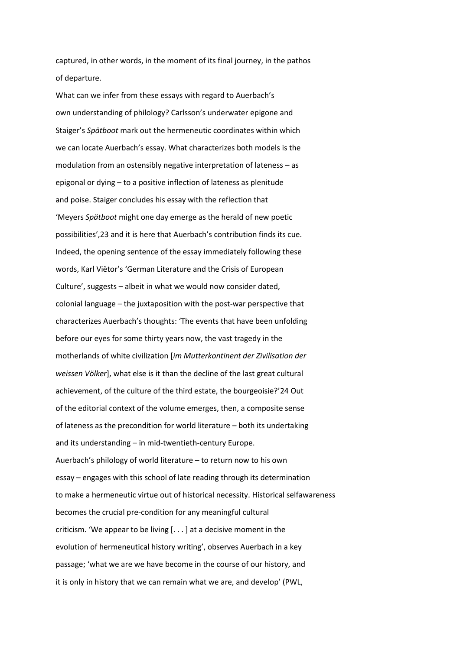captured, in other words, in the moment of its final journey, in the pathos of departure.

What can we infer from these essays with regard to Auerbach's own understanding of philology? Carlsson's underwater epigone and Staiger's Spätboot mark out the hermeneutic coordinates within which we can locate Auerbach's essay. What characterizes both models is the modulation from an ostensibly negative interpretation of lateness  $-$  as epigonal or dying  $-$  to a positive inflection of lateness as plenitude and poise. Staiger concludes his essay with the reflection that 'Meyers Spätboot might one day emerge as the herald of new poetic possibilities', 23 and it is here that Auerbach's contribution finds its cue. Indeed, the opening sentence of the essay immediately following these words, Karl Viëtor's 'German Literature and the Crisis of European Culture', suggests - albeit in what we would now consider dated,  $colonial$  language  $-$  the juxtaposition with the post-war perspective that characterizes Auerbach's thoughts: 'The events that have been unfolding before our eyes for some thirty years now, the vast tragedy in the motherlands of white civilization [*im Mutterkontinent der Zivilisation der weissen Völker*], what else is it than the decline of the last great cultural achievement, of the culture of the third estate, the bourgeoisie?'24 Out of the editorial context of the volume emerges, then, a composite sense of lateness as the precondition for world literature - both its undertaking and its understanding - in mid-twentieth-century Europe. Auerbach's philology of world literature – to return now to his own essay - engages with this school of late reading through its determination to make a hermeneutic virtue out of historical necessity. Historical selfawareness becomes the crucial pre-condition for any meaningful cultural criticism. 'We appear to be living  $[...]$  at a decisive moment in the evolution of hermeneutical history writing', observes Auerbach in a key passage; 'what we are we have become in the course of our history, and it is only in history that we can remain what we are, and develop' (PWL,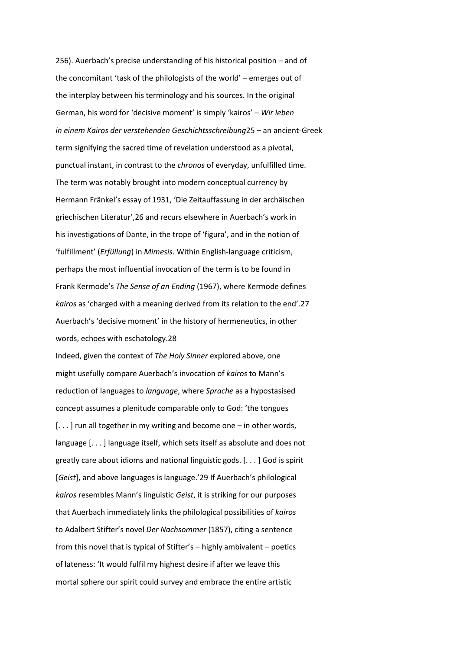256). Auerbach's precise understanding of his historical position – and of the concomitant 'task of the philologists of the world' - emerges out of the interplay between his terminology and his sources. In the original German, his word for 'decisive moment' is simply 'kairos' - Wir leben in einem Kairos der verstehenden Geschichtsschreibung25 - an ancient-Greek term signifying the sacred time of revelation understood as a pivotal, punctual instant, in contrast to the *chronos* of everyday, unfulfilled time. The term was notably brought into modern conceptual currency by Hermann Fränkel's essay of 1931, 'Die Zeitauffassung in der archäischen griechischen Literatur', 26 and recurs elsewhere in Auerbach's work in his investigations of Dante, in the trope of 'figura', and in the notion of 'fulfillment' (Erfüllung) in Mimesis. Within English-language criticism, perhaps the most influential invocation of the term is to be found in Frank Kermode's The Sense of an Ending (1967), where Kermode defines kairos as 'charged with a meaning derived from its relation to the end'.27 Auerbach's 'decisive moment' in the history of hermeneutics, in other words, echoes with eschatology.28

Indeed, given the context of The Holy Sinner explored above, one might usefully compare Auerbach's invocation of kairos to Mann's reduction of languages to language, where Sprache as a hypostasised concept assumes a plenitude comparable only to God: 'the tongues [...] run all together in my writing and become one - in other words, language [...] language itself, which sets itself as absolute and does not greatly care about idioms and national linguistic gods.  $[...]$  God is spirit [Geist], and above languages is language.'29 If Auerbach's philological kairos resembles Mann's linguistic Geist, it is striking for our purposes that Auerbach immediately links the philological possibilities of kairos to Adalbert Stifter's novel Der Nachsommer (1857), citing a sentence from this novel that is typical of Stifter's - highly ambivalent - poetics of lateness: 'It would fulfil my highest desire if after we leave this mortal sphere our spirit could survey and embrace the entire artistic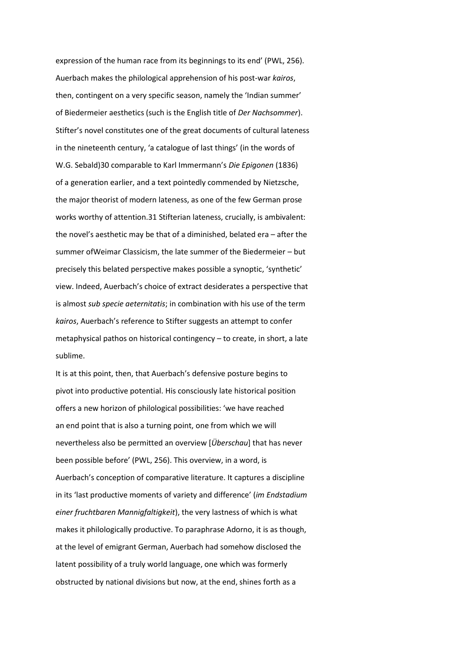expression of the human race from its beginnings to its end' (PWL, 256). Auerbach makes the philological apprehension of his post-war *kairos*, then, contingent on a very specific season, namely the 'Indian summer' of Biedermeier aesthetics (such is the English title of *Der Nachsommer*). Stifter's novel constitutes one of the great documents of cultural lateness in the nineteenth century, 'a catalogue of last things' (in the words of W.G. Sebald)30 comparable to Karl Immermann's Die Epigonen (1836) of a generation earlier, and a text pointedly commended by Nietzsche, the major theorist of modern lateness, as one of the few German prose works worthy of attention.31 Stifterian lateness, crucially, is ambivalent: the novel's aesthetic may be that of a diminished, belated era - after the summer of Weimar Classicism, the late summer of the Biedermeier - but precisely this belated perspective makes possible a synoptic, 'synthetic' view. Indeed, Auerbach's choice of extract desiderates a perspective that is almost *sub specie aeternitatis*; in combination with his use of the term kairos, Auerbach's reference to Stifter suggests an attempt to confer metaphysical pathos on historical contingency  $-$  to create, in short, a late sublime.

It is at this point, then, that Auerbach's defensive posture begins to pivot into productive potential. His consciously late historical position offers a new horizon of philological possibilities: 'we have reached an end point that is also a turning point, one from which we will nevertheless also be permitted an overview [*Überschau*] that has never been possible before' (PWL, 256). This overview, in a word, is Auerbach's conception of comparative literature. It captures a discipline in its 'last productive moments of variety and difference' (im Endstadium *einer fruchtbaren Mannigfaltigkeit*), the very lastness of which is what makes it philologically productive. To paraphrase Adorno, it is as though, at the level of emigrant German, Auerbach had somehow disclosed the latent possibility of a truly world language, one which was formerly obstructed by national divisions but now, at the end, shines forth as a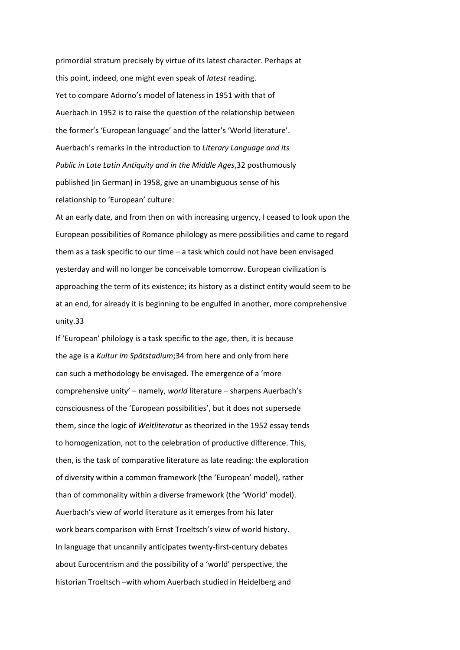primordial stratum precisely by virtue of its latest character. Perhaps at this point, indeed, one might even speak of *latest* reading. Yet to compare Adorno's model of lateness in 1951 with that of Auerbach in 1952 is to raise the question of the relationship between the former's 'European language' and the latter's 'World literature'. Auerbach's remarks in the introduction to Literary Language and its *Public in Late Latin Antiquity and in the Middle Ages*,32 posthumously published (in German) in 1958, give an unambiguous sense of his relationship to 'European' culture:

At an early date, and from then on with increasing urgency, I ceased to look upon the European possibilities of Romance philology as mere possibilities and came to regard them as a task specific to our time  $-$  a task which could not have been envisaged yesterday and will no longer be conceivable tomorrow. European civilization is approaching the term of its existence; its history as a distinct entity would seem to be at an end, for already it is beginning to be engulfed in another, more comprehensive unity.33

If 'European' philology is a task specific to the age, then, it is because the age is a *Kultur im Spätstadium*;34 from here and only from here can such a methodology be envisaged. The emergence of a 'more comprehensive unity' – namely, *world* literature – sharpens Auerbach's consciousness of the 'European possibilities', but it does not supersede them, since the logic of *Weltliteratur* as theorized in the 1952 essay tends to homogenization, not to the celebration of productive difference. This, then, is the task of comparative literature as late reading: the exploration of diversity within a common framework (the 'European' model), rather than of commonality within a diverse framework (the 'World' model). Auerbach's view of world literature as it emerges from his later work bears comparison with Ernst Troeltsch's view of world history. In language that uncannily anticipates twenty-first-century debates about Eurocentrism and the possibility of a 'world' perspective, the historian Troeltsch – with whom Auerbach studied in Heidelberg and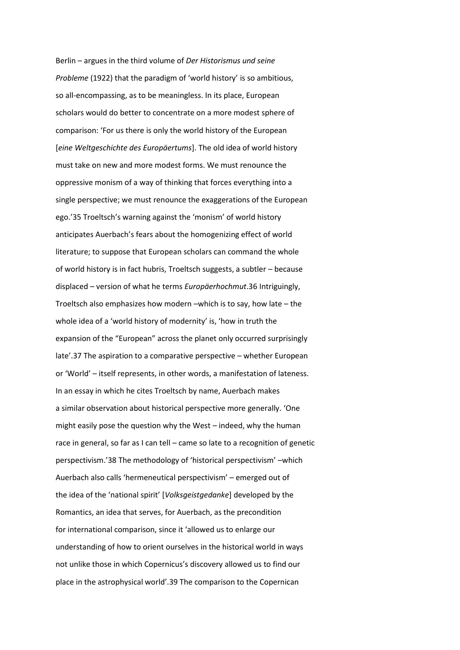Berlin – argues in the third volume of *Der Historismus und seine Probleme* (1922) that the paradigm of 'world history' is so ambitious, so all-encompassing, as to be meaningless. In its place, European scholars would do better to concentrate on a more modest sphere of comparison: 'For us there is only the world history of the European [*eine Weltgeschichte des Europ‰ertums*]. The old idea of world history must take on new and more modest forms. We must renounce the oppressive monism of a way of thinking that forces everything into a single perspective; we must renounce the exaggerations of the European ego.'35 Troeltsch's warning against the 'monism' of world history anticipates Auerbach's fears about the homogenizing effect of world literature; to suppose that European scholars can command the whole of world history is in fact hubris, Troeltsch suggests, a subtler - because displaced - version of what he terms *Europäerhochmut*.36 Intriguingly, Troeltsch also emphasizes how modern  $-w$ hich is to say, how late  $-$  the whole idea of a 'world history of modernity' is, 'how in truth the expansion of the "European" across the planet only occurred surprisingly late'.37 The aspiration to a comparative perspective - whether European or 'World' – itself represents, in other words, a manifestation of lateness. In an essay in which he cites Troeltsch by name, Auerbach makes a similar observation about historical perspective more generally. 'One might easily pose the question why the West - indeed, why the human race in general, so far as I can tell  $-$  came so late to a recognition of genetic perspectivism.'38 The methodology of 'historical perspectivism' -which Auerbach also calls 'hermeneutical perspectivism' - emerged out of the idea of the 'national spirit' [Volksgeistgedanke] developed by the Romantics, an idea that serves, for Auerbach, as the precondition for international comparison, since it 'allowed us to enlarge our understanding of how to orient ourselves in the historical world in ways not unlike those in which Copernicus's discovery allowed us to find our place in the astrophysical world'.39 The comparison to the Copernican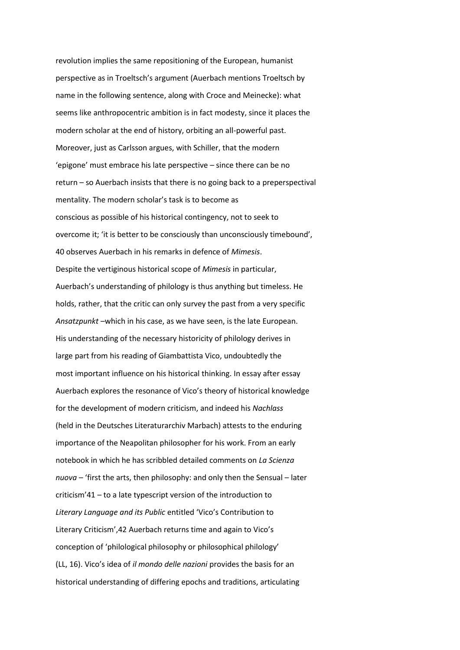revolution implies the same repositioning of the European, humanist perspective as in Troeltsch's argument (Auerbach mentions Troeltsch by name in the following sentence, along with Croce and Meinecke): what seems like anthropocentric ambition is in fact modesty, since it places the modern scholar at the end of history, orbiting an all-powerful past. Moreover, just as Carlsson argues, with Schiller, that the modern 'epigone' must embrace his late perspective – since there can be no  $return - so$  Auerbach insists that there is no going back to a preperspectival mentality. The modern scholar's task is to become as conscious as possible of his historical contingency, not to seek to overcome it; 'it is better to be consciously than unconsciously timebound', 40 observes Auerbach in his remarks in defence of *Mimesis*. Despite the vertiginous historical scope of *Mimesis* in particular, Auerbach's understanding of philology is thus anything but timeless. He holds, rather, that the critic can only survey the past from a very specific Ansatzpunkt -which in his case, as we have seen, is the late European. His understanding of the necessary historicity of philology derives in large part from his reading of Giambattista Vico, undoubtedly the most important influence on his historical thinking. In essay after essay Auerbach explores the resonance of Vico's theory of historical knowledge for the development of modern criticism, and indeed his *Nachlass*  (held in the Deutsches Literaturarchiv Marbach) attests to the enduring importance of the Neapolitan philosopher for his work. From an early notebook in which he has scribbled detailed comments on *La Scienza nuova* – 'first the arts, then philosophy: and only then the Sensual – later  $criticism'41 - to a late typescript version of the introduction to$ Literary Language and its Public entitled 'Vico's Contribution to Literary Criticism', 42 Auerbach returns time and again to Vico's conception of 'philological philosophy or philosophical philology' (LL, 16). Vico's idea of *il mondo delle nazioni* provides the basis for an historical understanding of differing epochs and traditions, articulating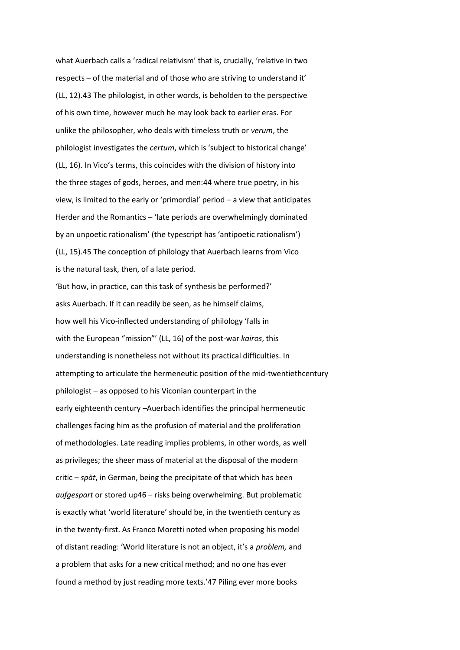what Auerbach calls a 'radical relativism' that is, crucially, 'relative in two respects – of the material and of those who are striving to understand it' (LL, 12).43 The philologist, in other words, is beholden to the perspective of his own time, however much he may look back to earlier eras. For unlike the philosopher, who deals with timeless truth or *verum*, the philologist investigates the *certum*, which is 'subject to historical change' (LL, 16). In Vico's terms, this coincides with the division of history into the three stages of gods, heroes, and men:44 where true poetry, in his view, is limited to the early or 'primordial' period - a view that anticipates Herder and the Romantics - 'late periods are overwhelmingly dominated by an unpoetic rationalism' (the typescript has 'antipoetic rationalism') (LL, 15).45 The conception of philology that Auerbach learns from Vico is the natural task, then, of a late period.

'But how, in practice, can this task of synthesis be performed?' asks Auerbach. If it can readily be seen, as he himself claims, how well his Vico-inflected understanding of philology 'falls in with the European "mission"' (LL, 16) of the post-war *kairos*, this understanding is nonetheless not without its practical difficulties. In attempting to articulate the hermeneutic position of the mid-twentiethcentury  $philologist - as opposed to his Viconian counterpart in the$ early eighteenth century -Auerbach identifies the principal hermeneutic challenges facing him as the profusion of material and the proliferation of methodologies. Late reading implies problems, in other words, as well as privileges; the sheer mass of material at the disposal of the modern critic - *spät*, in German, being the precipitate of that which has been *aufgespart* or stored up46 - risks being overwhelming. But problematic is exactly what 'world literature' should be, in the twentieth century as in the twenty-first. As Franco Moretti noted when proposing his model of distant reading: 'World literature is not an object, it's a *problem,* and a problem that asks for a new critical method; and no one has ever found a method by just reading more texts.'47 Piling ever more books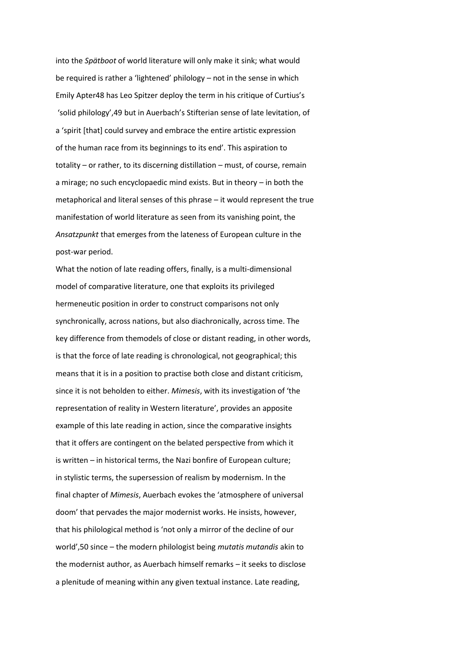into the *Spätboot* of world literature will only make it sink; what would be required is rather a 'lightened' philology - not in the sense in which Emily Apter48 has Leo Spitzer deploy the term in his critique of Curtius's 'solid philology', 49 but in Auerbach's Stifterian sense of late levitation, of a 'spirit [that] could survey and embrace the entire artistic expression of the human race from its beginnings to its end'. This aspiration to totality - or rather, to its discerning distillation - must, of course, remain a mirage; no such encyclopaedic mind exists. But in theory  $-$  in both the metaphorical and literal senses of this phrase  $-$  it would represent the true manifestation of world literature as seen from its vanishing point, the *Ansatzpunkt* that emerges from the lateness of European culture in the post-war period.

What the notion of late reading offers, finally, is a multi-dimensional model of comparative literature, one that exploits its privileged hermeneutic position in order to construct comparisons not only synchronically, across nations, but also diachronically, across time. The key difference from themodels of close or distant reading, in other words, is that the force of late reading is chronological, not geographical; this means that it is in a position to practise both close and distant criticism, since it is not beholden to either. *Mimesis*, with its investigation of 'the representation of reality in Western literature', provides an apposite example of this late reading in action, since the comparative insights that it offers are contingent on the belated perspective from which it is written - in historical terms, the Nazi bonfire of European culture; in stylistic terms, the supersession of realism by modernism. In the final chapter of *Mimesis*, Auerbach evokes the 'atmosphere of universal doom' that pervades the major modernist works. He insists, however, that his philological method is 'not only a mirror of the decline of our world', 50 since – the modern philologist being *mutatis mutandis* akin to the modernist author, as Auerbach himself remarks - it seeks to disclose a plenitude of meaning within any given textual instance. Late reading,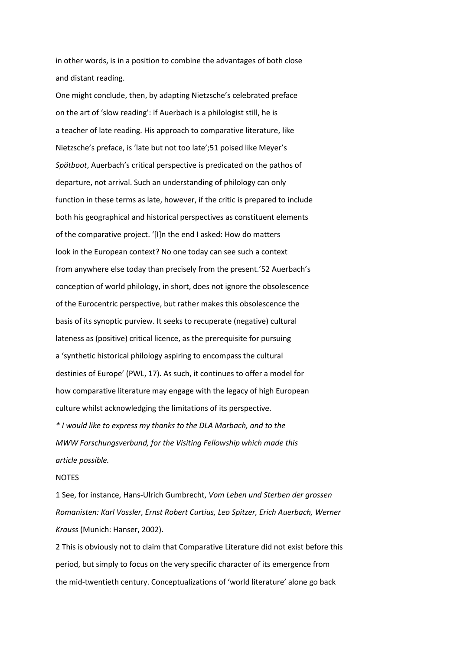in other words, is in a position to combine the advantages of both close and distant reading.

One might conclude, then, by adapting Nietzsche's celebrated preface on the art of 'slow reading': if Auerbach is a philologist still, he is a teacher of late reading. His approach to comparative literature, like Nietzsche's preface, is 'late but not too late';51 poised like Meyer's *Spätboot*, Auerbach's critical perspective is predicated on the pathos of departure, not arrival. Such an understanding of philology can only function in these terms as late, however, if the critic is prepared to include both his geographical and historical perspectives as constituent elements of the comparative project. '[I]n the end I asked: How do matters look in the European context? No one today can see such a context from anywhere else today than precisely from the present.'52 Auerbach's conception of world philology, in short, does not ignore the obsolescence of the Eurocentric perspective, but rather makes this obsolescence the basis of its synoptic purview. It seeks to recuperate (negative) cultural lateness as (positive) critical licence, as the prerequisite for pursuing a 'synthetic historical philology aspiring to encompass the cultural destinies of Europe' (PWL, 17). As such, it continues to offer a model for how comparative literature may engage with the legacy of high European culture whilst acknowledging the limitations of its perspective.

*\* I would like to express my thanks to the DLA Marbach, and to the MWW Forschungsverbund, for the Visiting Fellowship which made this article possible.* 

#### NOTES

1 See, for instance, Hans-Ulrich Gumbrecht, *Vom Leben und Sterben der grossen Romanisten: Karl Vossler, Ernst Robert Curtius, Leo Spitzer, Erich Auerbach, Werner Krauss* (Munich: Hanser, 2002).

2 This is obviously not to claim that Comparative Literature did not exist before this period, but simply to focus on the very specific character of its emergence from the mid-twentieth century. Conceptualizations of 'world literature' alone go back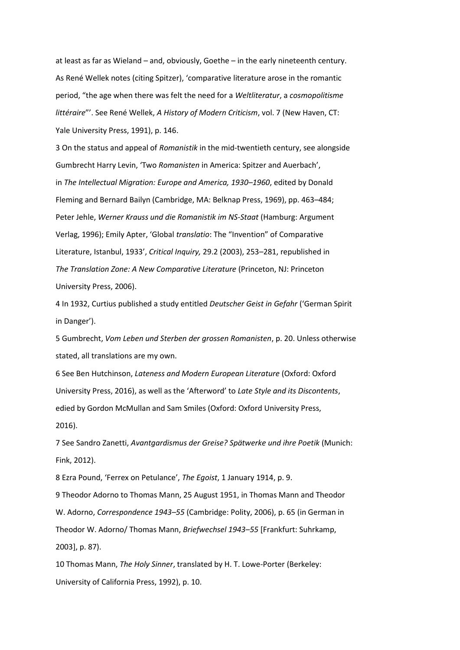at least as far as Wieland – and, obviously, Goethe – in the early nineteenth century. As René Wellek notes (citing Spitzer), 'comparative literature arose in the romantic period, "the age when there was felt the need for a Weltliteratur, a cosmopolitisme littéraire"'. See René Wellek, A History of Modern Criticism, vol. 7 (New Haven, CT: Yale University Press, 1991), p. 146.

3 On the status and appeal of Romanistik in the mid-twentieth century, see alongside Gumbrecht Harry Levin, 'Two Romanisten in America: Spitzer and Auerbach', in The Intellectual Migration: Europe and America, 1930-1960, edited by Donald Fleming and Bernard Bailyn (Cambridge, MA: Belknap Press, 1969), pp. 463-484; Peter Jehle, Werner Krauss und die Romanistik im NS-Staat (Hamburg: Argument Verlag, 1996); Emily Apter, 'Global translatio: The "Invention" of Comparative Literature, Istanbul, 1933', Critical Inquiry, 29.2 (2003), 253-281, republished in The Translation Zone: A New Comparative Literature (Princeton, NJ: Princeton University Press, 2006).

4 In 1932, Curtius published a study entitled Deutscher Geist in Gefahr ('German Spirit in Danger').

5 Gumbrecht, Vom Leben und Sterben der grossen Romanisten, p. 20. Unless otherwise stated, all translations are my own.

6 See Ben Hutchinson, Lateness and Modern European Literature (Oxford: Oxford University Press, 2016), as well as the 'Afterword' to Late Style and its Discontents, edied by Gordon McMullan and Sam Smiles (Oxford: Oxford University Press,  $2016$ ).

7 See Sandro Zanetti, Avantgardismus der Greise? Spätwerke und ihre Poetik (Munich: Fink, 2012).

8 Ezra Pound, 'Ferrex on Petulance', The Egoist, 1 January 1914, p. 9.

9 Theodor Adorno to Thomas Mann, 25 August 1951, in Thomas Mann and Theodor W. Adorno, Correspondence 1943-55 (Cambridge: Polity, 2006), p. 65 (in German in Theodor W. Adorno/ Thomas Mann, Briefwechsel 1943-55 [Frankfurt: Suhrkamp, 2003], p. 87).

10 Thomas Mann, The Holy Sinner, translated by H. T. Lowe-Porter (Berkeley: University of California Press, 1992), p. 10.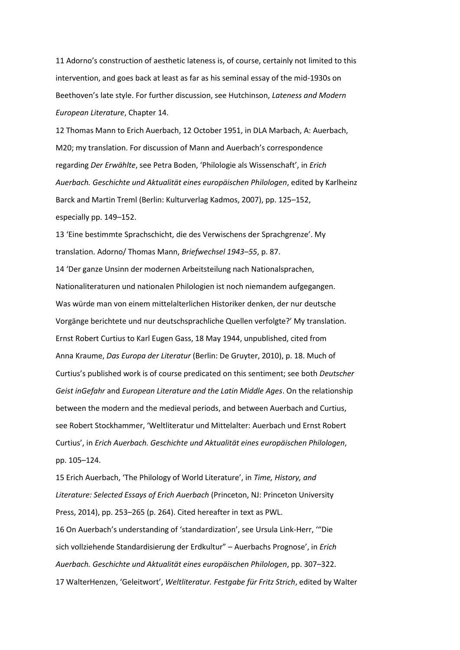11 Adorno's construction of aesthetic lateness is, of course, certainly not limited to this intervention, and goes back at least as far as his seminal essay of the mid-1930s on Beethoven's late style. For further discussion, see Hutchinson, Lateness and Modern European Literature, Chapter 14.

12 Thomas Mann to Erich Auerbach, 12 October 1951, in DLA Marbach, A: Auerbach, M20; my translation. For discussion of Mann and Auerbach's correspondence regarding Der Erwählte, see Petra Boden, 'Philologie als Wissenschaft', in Erich Auerbach. Geschichte und Aktualität eines europäischen Philologen, edited by Karlheinz Barck and Martin Treml (Berlin: Kulturverlag Kadmos, 2007), pp. 125-152, especially pp. 149-152.

13 'Eine bestimmte Sprachschicht, die des Verwischens der Sprachgrenze'. My translation. Adorno/ Thomas Mann, Briefwechsel 1943-55, p. 87. 14 'Der ganze Unsinn der modernen Arbeitsteilung nach Nationalsprachen, Nationaliteraturen und nationalen Philologien ist noch niemandem aufgegangen. Was würde man von einem mittelalterlichen Historiker denken, der nur deutsche Vorgänge berichtete und nur deutschsprachliche Quellen verfolgte?' My translation. Ernst Robert Curtius to Karl Eugen Gass, 18 May 1944, unpublished, cited from Anna Kraume, Das Europa der Literatur (Berlin: De Gruyter, 2010), p. 18. Much of Curtius's published work is of course predicated on this sentiment; see both Deutscher Geist inGefahr and European Literature and the Latin Middle Ages. On the relationship between the modern and the medieval periods, and between Auerbach and Curtius, see Robert Stockhammer, 'Weltliteratur und Mittelalter: Auerbach und Ernst Robert Curtius', in Erich Auerbach. Geschichte und Aktualität eines europäischen Philologen, pp. 105-124.

15 Erich Auerbach, 'The Philology of World Literature', in Time, History, and Literature: Selected Essays of Erich Auerbach (Princeton, NJ: Princeton University Press, 2014), pp. 253-265 (p. 264). Cited hereafter in text as PWL.

16 On Auerbach's understanding of 'standardization', see Ursula Link-Herr, "Die sich vollziehende Standardisierung der Erdkultur" - Auerbachs Prognose', in Erich Auerbach. Geschichte und Aktualität eines europäischen Philologen, pp. 307–322. 17 WalterHenzen, 'Geleitwort', Weltliteratur. Festgabe für Fritz Strich, edited by Walter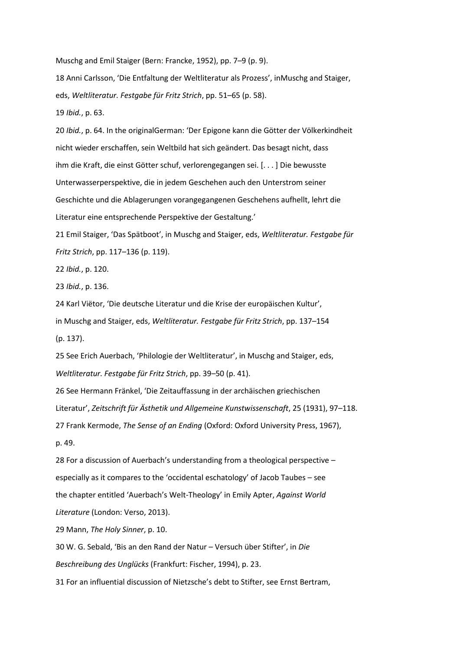Muschg and Emil Staiger (Bern: Francke, 1952), pp. 7-9 (p. 9).

18 Anni Carlsson, 'Die Entfaltung der Weltliteratur als Prozess', inMuschg and Staiger, eds, Weltliteratur. Festgabe für Fritz Strich, pp. 51-65 (p. 58).

19 Ibid., p. 63.

20 Ibid., p. 64. In the originalGerman: 'Der Epigone kann die Götter der Völkerkindheit nicht wieder erschaffen, sein Weltbild hat sich geändert. Das besagt nicht, dass ihm die Kraft, die einst Götter schuf, verlorengegangen sei. [...] Die bewusste Unterwasserperspektive, die in jedem Geschehen auch den Unterstrom seiner Geschichte und die Ablagerungen vorangegangenen Geschehens aufhellt, lehrt die Literatur eine entsprechende Perspektive der Gestaltung.'

21 Emil Staiger, 'Das Spätboot', in Muschg and Staiger, eds, Weltliteratur. Festgabe für Fritz Strich, pp. 117-136 (p. 119).

22 Ibid., p. 120.

23 Ibid., p. 136.

24 Karl Viëtor, 'Die deutsche Literatur und die Krise der europäischen Kultur', in Muschg and Staiger, eds, Weltliteratur. Festgabe für Fritz Strich, pp. 137-154  $(p. 137)$ .

25 See Erich Auerbach, 'Philologie der Weltliteratur', in Muschg and Staiger, eds, Weltliteratur. Festgabe für Fritz Strich, pp. 39-50 (p. 41).

26 See Hermann Fränkel, 'Die Zeitauffassung in der archäischen griechischen Literatur', Zeitschrift für Ästhetik und Allgemeine Kunstwissenschaft, 25 (1931), 97-118. 27 Frank Kermode, The Sense of an Ending (Oxford: Oxford University Press, 1967), p. 49.

28 For a discussion of Auerbach's understanding from a theological perspective especially as it compares to the 'occidental eschatology' of Jacob Taubes - see the chapter entitled 'Auerbach's Welt-Theology' in Emily Apter, Against World Literature (London: Verso, 2013).

29 Mann, The Holy Sinner, p. 10.

30 W. G. Sebald, 'Bis an den Rand der Natur - Versuch über Stifter', in Die Beschreibung des Unglücks (Frankfurt: Fischer, 1994), p. 23.

31 For an influential discussion of Nietzsche's debt to Stifter, see Ernst Bertram,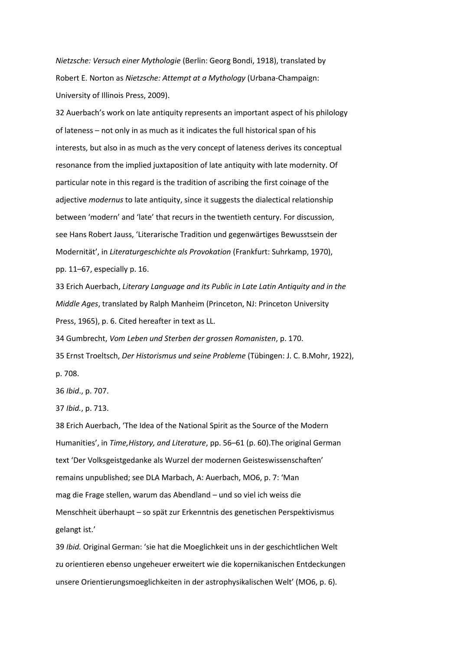Nietzsche: Versuch einer Mythologie (Berlin: Georg Bondi, 1918), translated by Robert E. Norton as Nietzsche: Attempt at a Mythology (Urbana-Champaign: University of Illinois Press, 2009).

32 Auerbach's work on late antiquity represents an important aspect of his philology of lateness - not only in as much as it indicates the full historical span of his interests, but also in as much as the very concept of lateness derives its conceptual resonance from the implied juxtaposition of late antiquity with late modernity. Of particular note in this regard is the tradition of ascribing the first coinage of the adjective modernus to late antiquity, since it suggests the dialectical relationship between 'modern' and 'late' that recurs in the twentieth century. For discussion, see Hans Robert Jauss, 'Literarische Tradition und gegenwärtiges Bewusstsein der Modernität', in Literaturgeschichte als Provokation (Frankfurt: Suhrkamp, 1970), pp. 11-67, especially p. 16.

33 Erich Auerbach, Literary Language and its Public in Late Latin Antiquity and in the Middle Ages, translated by Ralph Manheim (Princeton, NJ: Princeton University Press, 1965), p. 6. Cited hereafter in text as LL.

34 Gumbrecht, Vom Leben und Sterben der grossen Romanisten, p. 170. 35 Ernst Troeltsch, Der Historismus und seine Probleme (Tübingen: J. C. B.Mohr, 1922), p. 708.

36 Ibid., p. 707.

37 Ibid., p. 713.

38 Erich Auerbach, 'The Idea of the National Spirit as the Source of the Modern Humanities', in Time, History, and Literature, pp. 56-61 (p. 60). The original German text 'Der Volksgeistgedanke als Wurzel der modernen Geisteswissenschaften' remains unpublished; see DLA Marbach, A: Auerbach, MO6, p. 7: 'Man mag die Frage stellen, warum das Abendland - und so viel ich weiss die Menschheit überhaupt - so spät zur Erkenntnis des genetischen Perspektivismus gelangt ist.'

39 Ibid. Original German: 'sie hat die Moeglichkeit uns in der geschichtlichen Welt zu orientieren ebenso ungeheuer erweitert wie die kopernikanischen Entdeckungen unsere Orientierungsmoeglichkeiten in der astrophysikalischen Welt' (MO6, p. 6).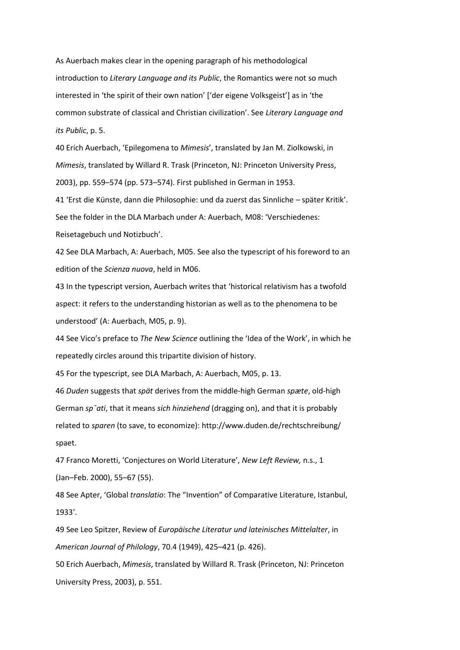As Auerbach makes clear in the opening paragraph of his methodological introduction to Literary Language and its Public, the Romantics were not so much interested in 'the spirit of their own nation' ['der eigene Volksgeist'] as in 'the common substrate of classical and Christian civilization'. See Literary Language and its Public, p. 5.

40 Erich Auerbach, 'Epilegomena to Mimesis', translated by Jan M. Ziolkowski, in Mimesis, translated by Willard R. Trask (Princeton, NJ: Princeton University Press, 2003), pp. 559–574 (pp. 573–574). First published in German in 1953.

41 'Erst die Künste, dann die Philosophie: und da zuerst das Sinnliche – später Kritik'. See the folder in the DLA Marbach under A: Auerbach, M08: 'Verschiedenes: Reisetagebuch und Notizbuch'.

42 See DLA Marbach, A: Auerbach, M05. See also the typescript of his foreword to an edition of the Scienza nuova, held in M06.

43 In the typescript version, Auerbach writes that 'historical relativism has a twofold aspect: it refers to the understanding historian as well as to the phenomena to be understood' (A: Auerbach, M05, p. 9).

44 See Vico's preface to The New Science outlining the 'Idea of the Work', in which he repeatedly circles around this tripartite division of history.

45 For the typescript, see DLA Marbach, A: Auerbach, M05, p. 13.

46 Duden suggests that spät derives from the middle-high German spæte, old-high German sp<sup>-</sup>ati, that it means sich hinziehend (dragging on), and that it is probably related to sparen (to save, to economize): http://www.duden.de/rechtschreibung/ spaet.

47 Franco Moretti, 'Conjectures on World Literature', New Left Review, n.s., 1 (Jan-Feb. 2000), 55-67 (55).

48 See Apter, 'Global translatio: The "Invention" of Comparative Literature, Istanbul, 1933'.

49 See Leo Spitzer, Review of Europäische Literatur und lateinisches Mittelalter, in American Journal of Philology, 70.4 (1949), 425-421 (p. 426).

50 Erich Auerbach, Mimesis, translated by Willard R. Trask (Princeton, NJ: Princeton University Press, 2003), p. 551.